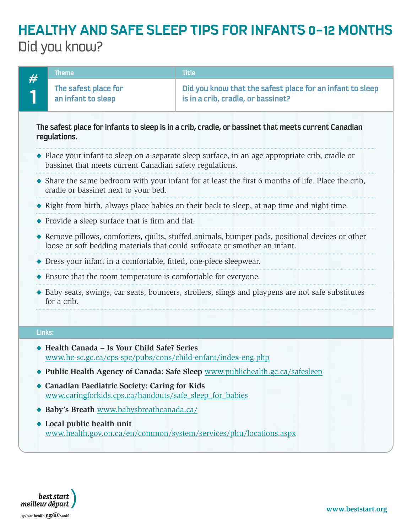|                                                                                                                     | <b>Theme</b>                                                                                                                                                                  | <b>Title</b>                                                                                    |  |
|---------------------------------------------------------------------------------------------------------------------|-------------------------------------------------------------------------------------------------------------------------------------------------------------------------------|-------------------------------------------------------------------------------------------------|--|
|                                                                                                                     | The safest place for<br>an infant to sleep                                                                                                                                    | Did you know that the safest place for an infant to sleep<br>is in a crib, cradle, or bassinet? |  |
| The safest place for infants to sleep is in a crib, cradle, or bassinet that meets current Canadian<br>regulations. |                                                                                                                                                                               |                                                                                                 |  |
|                                                                                                                     | • Place your infant to sleep on a separate sleep surface, in an age appropriate crib, cradle or<br>bassinet that meets current Canadian safety regulations.                   |                                                                                                 |  |
|                                                                                                                     | • Share the same bedroom with your infant for at least the first 6 months of life. Place the crib,<br>cradle or bassinet next to your bed.                                    |                                                                                                 |  |
|                                                                                                                     | ◆ Right from birth, always place babies on their back to sleep, at nap time and night time.                                                                                   |                                                                                                 |  |
|                                                                                                                     | $\blacklozenge$ Provide a sleep surface that is firm and flat.                                                                                                                |                                                                                                 |  |
|                                                                                                                     | ◆ Remove pillows, comforters, quilts, stuffed animals, bumper pads, positional devices or other<br>loose or soft bedding materials that could suffocate or smother an infant. |                                                                                                 |  |
|                                                                                                                     | ◆ Dress your infant in a comfortable, fitted, one-piece sleepwear.                                                                                                            |                                                                                                 |  |
|                                                                                                                     | $\triangle$ Ensure that the room temperature is comfortable for everyone.                                                                                                     |                                                                                                 |  |
|                                                                                                                     | • Baby seats, swings, car seats, bouncers, strollers, slings and playpens are not safe substitutes<br>for a crib.                                                             |                                                                                                 |  |
| Links:                                                                                                              |                                                                                                                                                                               |                                                                                                 |  |
|                                                                                                                     | ◆ Health Canada – Is Your Child Safe? Series<br>www.hc-sc.gc.ca/cps-spc/pubs/cons/child-enfant/index-eng.php                                                                  |                                                                                                 |  |

- u **Public Health Agency of Canada: Safe Sleep** www.publichealth.gc.ca/safesleep
- u **Canadian Paediatric Society: Caring for Kids** www.caringforkids.cps.ca/handouts/safe\_sleep\_for\_babies
- u **Baby's Breath** www.babysbreathcanada.ca/
- u **Local public health unit** www.health.gov.on.ca/en/common/system/services/phu/locations.aspx

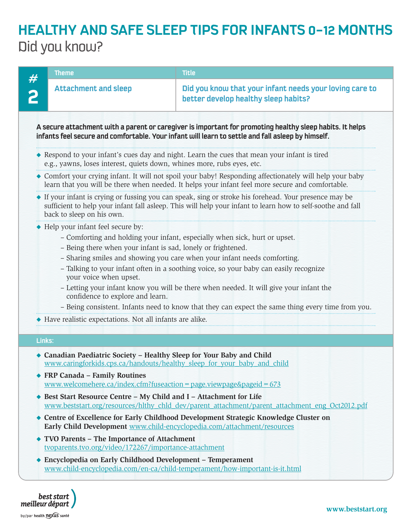

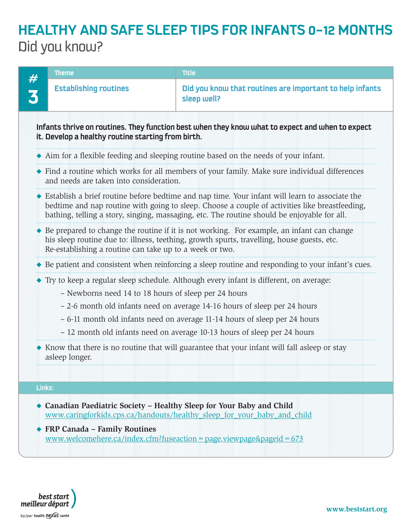

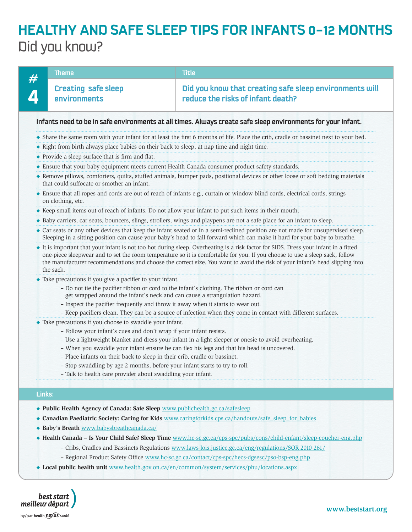|        | <b>Theme</b>                                                                                                                                                                                                                                                                                                                                            | <b>Title</b>                                                                                                                                                                                                                                                                                                                                                                                                                          |  |  |  |
|--------|---------------------------------------------------------------------------------------------------------------------------------------------------------------------------------------------------------------------------------------------------------------------------------------------------------------------------------------------------------|---------------------------------------------------------------------------------------------------------------------------------------------------------------------------------------------------------------------------------------------------------------------------------------------------------------------------------------------------------------------------------------------------------------------------------------|--|--|--|
|        | <b>Creating safe sleep</b><br>environments                                                                                                                                                                                                                                                                                                              | Did you know that creating safe sleep environments will<br>reduce the risks of infant death?                                                                                                                                                                                                                                                                                                                                          |  |  |  |
|        | Infants need to be in safe environments at all times. Always create safe sleep environments for your infant.                                                                                                                                                                                                                                            |                                                                                                                                                                                                                                                                                                                                                                                                                                       |  |  |  |
|        | • Share the same room with your infant for at least the first 6 months of life. Place the crib, cradle or bassinet next to your bed.                                                                                                                                                                                                                    |                                                                                                                                                                                                                                                                                                                                                                                                                                       |  |  |  |
|        | • Right from birth always place babies on their back to sleep, at nap time and night time.                                                                                                                                                                                                                                                              |                                                                                                                                                                                                                                                                                                                                                                                                                                       |  |  |  |
|        | ◆ Provide a sleep surface that is firm and flat.                                                                                                                                                                                                                                                                                                        |                                                                                                                                                                                                                                                                                                                                                                                                                                       |  |  |  |
|        | • Ensure that your baby equipment meets current Health Canada consumer product safety standards.                                                                                                                                                                                                                                                        |                                                                                                                                                                                                                                                                                                                                                                                                                                       |  |  |  |
|        | that could suffocate or smother an infant.                                                                                                                                                                                                                                                                                                              | ◆ Remove pillows, comforters, quilts, stuffed animals, bumper pads, positional devices or other loose or soft bedding materials                                                                                                                                                                                                                                                                                                       |  |  |  |
|        | on clothing, etc.                                                                                                                                                                                                                                                                                                                                       | • Ensure that all ropes and cords are out of reach of infants e.g., curtain or window blind cords, electrical cords, strings                                                                                                                                                                                                                                                                                                          |  |  |  |
|        | ◆ Keep small items out of reach of infants. Do not allow your infant to put such items in their mouth.                                                                                                                                                                                                                                                  |                                                                                                                                                                                                                                                                                                                                                                                                                                       |  |  |  |
|        |                                                                                                                                                                                                                                                                                                                                                         | • Baby carriers, car seats, bouncers, slings, strollers, wings and playpens are not a safe place for an infant to sleep.                                                                                                                                                                                                                                                                                                              |  |  |  |
|        |                                                                                                                                                                                                                                                                                                                                                         | • Car seats or any other devices that keep the infant seated or in a semi-reclined position are not made for unsupervised sleep.<br>Sleeping in a sitting position can cause your baby's head to fall forward which can make it hard for your baby to breathe.                                                                                                                                                                        |  |  |  |
|        | the sack.                                                                                                                                                                                                                                                                                                                                               | It is important that your infant is not too hot during sleep. Overheating is a risk factor for SIDS. Dress your infant in a fitted<br>one-piece sleepwear and to set the room temperature so it is comfortable for you. If you choose to use a sleep sack, follow<br>the manufacturer recommendations and choose the correct size. You want to avoid the risk of your infant's head slipping into                                     |  |  |  |
|        | • Take precautions if you give a pacifier to your infant.<br>- Do not tie the pacifier ribbon or cord to the infant's clothing. The ribbon or cord can<br>get wrapped around the infant's neck and can cause a strangulation hazard.<br>- Inspect the pacifier frequently and throw it away when it starts to wear out.                                 | - Keep pacifiers clean. They can be a source of infection when they come in contact with different surfaces.                                                                                                                                                                                                                                                                                                                          |  |  |  |
|        | • Take precautions if you choose to swaddle your infant.<br>- Follow your infant's cues and don't wrap if your infant resists.<br>- Place infants on their back to sleep in their crib, cradle or bassinet.<br>Stop swaddling by age 2 months, before your infant starts to try to roll.<br>- Talk to health care provider about swaddling your infant. | - Use a lightweight blanket and dress your infant in a light sleeper or onesie to avoid overheating.<br>- When you swaddle your infant ensure he can flex his legs and that his head is uncovered.                                                                                                                                                                                                                                    |  |  |  |
| Links: |                                                                                                                                                                                                                                                                                                                                                         |                                                                                                                                                                                                                                                                                                                                                                                                                                       |  |  |  |
|        | ◆ Public Health Agency of Canada: Safe Sleep www.publichealth.gc.ca/safesleep<br>· Baby's Breath www.babysbreathcanada.ca/                                                                                                                                                                                                                              | Canadian Paediatric Society: Caring for Kids www.caringforkids.cps.ca/handouts/safe sleep for babies<br>◆ Health Canada - Is Your Child Safe? Sleep Time www.hc-sc.gc.ca/cps-spc/pubs/cons/child-enfant/sleep-coucher-eng.php<br>- Cribs, Cradles and Bassinets Regulations www.laws-lois.justice.gc.ca/eng/regulations/SOR-2010-261/<br>- Regional Product Safety Office www.hc-sc.gc.ca/contact/cps-spc/hecs-dgsesc/pso-bsp-eng.php |  |  |  |

u **Local public health unit** www.health.gov.on.ca/en/common/system/services/phu/locations.aspx

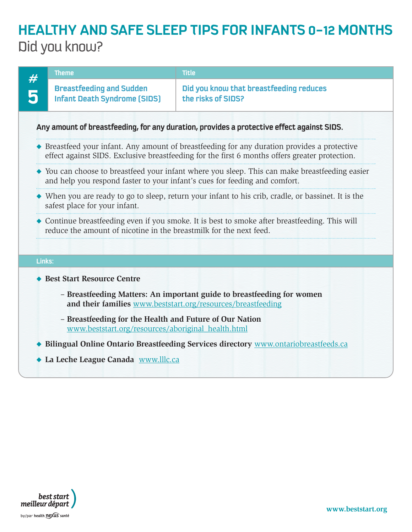|                                                                                                                                                                                                | <b>Theme</b>                                                                                                                       | <b>Title</b>                                                  |  |  |  |
|------------------------------------------------------------------------------------------------------------------------------------------------------------------------------------------------|------------------------------------------------------------------------------------------------------------------------------------|---------------------------------------------------------------|--|--|--|
|                                                                                                                                                                                                | <b>Breastfeeding and Sudden</b><br><b>Infant Death Syndrome (SIDS)</b>                                                             | Did you know that breastfeeding reduces<br>the risks of SIDS? |  |  |  |
|                                                                                                                                                                                                | Any amount of breastfeeding, for any duration, provides a protective effect against SIDS.                                          |                                                               |  |  |  |
| ◆ Breastfeed your infant. Any amount of breastfeeding for any duration provides a protective<br>effect against SIDS. Exclusive breastfeeding for the first 6 months offers greater protection. |                                                                                                                                    |                                                               |  |  |  |
| • You can choose to breastfeed your infant where you sleep. This can make breastfeeding easier<br>and help you respond faster to your infant's cues for feeding and comfort.                   |                                                                                                                                    |                                                               |  |  |  |
|                                                                                                                                                                                                | When you are ready to go to sleep, return your infant to his crib, cradle, or bassinet. It is the<br>safest place for your infant. |                                                               |  |  |  |
| • Continue breastfeeding even if you smoke. It is best to smoke after breastfeeding. This will<br>reduce the amount of nicotine in the breastmilk for the next feed.                           |                                                                                                                                    |                                                               |  |  |  |
| Links:                                                                                                                                                                                         |                                                                                                                                    |                                                               |  |  |  |
|                                                                                                                                                                                                | <b>Best Start Resource Centre</b>                                                                                                  |                                                               |  |  |  |
| - Breastfeeding Matters: An important guide to breastfeeding for women<br>and their families www.beststart.org/resources/breastfeeding                                                         |                                                                                                                                    |                                                               |  |  |  |
| - Breastfeeding for the Health and Future of Our Nation<br>www.beststart.org/resources/aboriginal_health.html                                                                                  |                                                                                                                                    |                                                               |  |  |  |
| Bilingual Online Ontario Breastfeeding Services directory www.ontariobreastfeeds.ca                                                                                                            |                                                                                                                                    |                                                               |  |  |  |
|                                                                                                                                                                                                | La Leche League Canada www.lllc.ca                                                                                                 |                                                               |  |  |  |

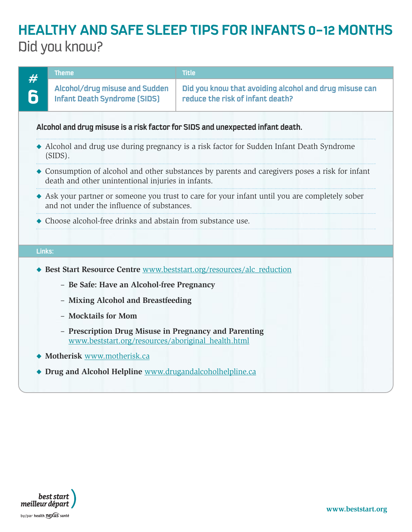|        | Theme                                                                                                                                        | <b>Title</b>                                                                                    |  |
|--------|----------------------------------------------------------------------------------------------------------------------------------------------|-------------------------------------------------------------------------------------------------|--|
|        | Alcohol/drug misuse and Sudden<br><b>Infant Death Syndrome [SIDS]</b>                                                                        | Did you know that avoiding alcohol and drug misuse can<br>reduce the risk of infant death?      |  |
|        | Alcohol and drug misuse is a risk factor for SIDS and unexpected infant death.                                                               |                                                                                                 |  |
|        | $(SIDS)$ .                                                                                                                                   | • Alcohol and drug use during pregnancy is a risk factor for Sudden Infant Death Syndrome       |  |
|        | death and other unintentional injuries in infants.                                                                                           | • Consumption of alcohol and other substances by parents and caregivers poses a risk for infant |  |
|        | • Ask your partner or someone you trust to care for your infant until you are completely sober<br>and not under the influence of substances. |                                                                                                 |  |
|        | Choose alcohol-free drinks and abstain from substance use.                                                                                   |                                                                                                 |  |
| Links: |                                                                                                                                              |                                                                                                 |  |
|        | Best Start Resource Centre www.beststart.org/resources/alc_reduction                                                                         |                                                                                                 |  |
|        | - Be Safe: Have an Alcohol-free Pregnancy                                                                                                    |                                                                                                 |  |
|        | - Mixing Alcohol and Breastfeeding                                                                                                           |                                                                                                 |  |
|        | - Mocktails for Mom                                                                                                                          |                                                                                                 |  |
|        | - Prescription Drug Misuse in Pregnancy and Parenting<br>www.beststart.org/resources/aboriginal_health.html                                  |                                                                                                 |  |
|        | Motherisk www.motherisk.ca                                                                                                                   |                                                                                                 |  |
|        | Drug and Alcohol Helpline www.drugandalcoholhelpline.ca                                                                                      |                                                                                                 |  |